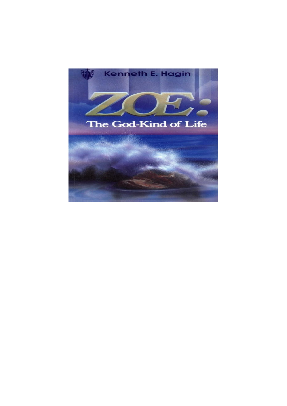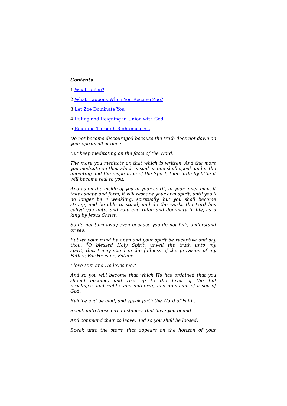# *Contents*

- 1 What Is Zoe?
- 2 What Happens When You Receive Zoe?
- 3 Let Zoe Dominate You
- 4 Ruling and Reigning in Union with God
- 5 Reigning Through Righteousness

*Do not become discouraged because the truth does not dawn on your spirits all at once.*

*But keep meditating on the facts of the Word.*

*The more you meditate on that which is written, And the more you meditate on that which is said as one shall speak under the anointing and the inspiration of the Spirit, then little by little it will become real to you.*

*And as on the inside of you in your spirit, in your inner man, it takes shape and form, it will reshape your own spirit, until you'll no longer be a weakling, spiritually, but you shall become strong, and be able to stand, and do the works the Lord has called you unto, and rule and reign and dominate in life, as a king by Jesus Christ.*

*So do not turn away even because you do not fully understand or see.*

*But let your mind be open and your spirit be receptive and say thou, "O blessed Holy Spirit, unveil the truth unto my spirit, that I may stand in the fullness of the provision of my Father, For He is my Father.*

*I love Him and He loves me."*

*And so you will become that which He has ordained that you should become, and rise up to the level of the full privileges, and rights, and authority, and dominion of a son of God.*

*Rejoice and be glad, and speak forth the Word of Faith.*

*Speak unto those circumstances that have you bound.*

*And command them to leave, and so you shall be loosed.*

*Speak unto the storm that appears on the horizon of your*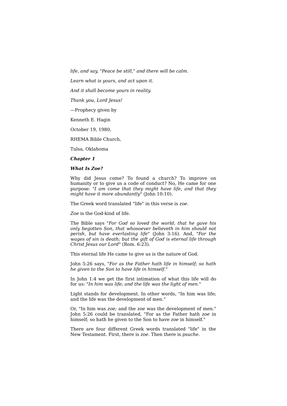*life, and say, "Peace be still," and there will be calm.*

*Learn what is yours, and act upon it.*

*And it shall become yours in reality.*

*Thank you, Lord Jesus!*

—Prophecy given by

Kenneth E. Hagin

October 19, 1980,

RHEMA Bible Church,

Tulsa, Oklahoma

*Chapter 1*

# *What Is Zoe?*

Why did Jesus come? To found a church? To improve on humanity or to give us a code of conduct? No, He came for one purpose: *"I am come that they might have life, and that they might have it more abundantly"* (John 10:10).

The Greek word translated "life" in this verse is *zoe.*

*Zoe* is the God-kind of life.

The Bible says *"For God so loved the world, that he gave his only begotten Son, that whosoever believeth in him should not perish, but have everlasting life"* (John 3:16). And, *"For the wages of sin is death; but the gift of God is eternal life through Christ Jesus our Lord"* (Rom. 6:23).

This eternal life He came to give us is the nature of God.

John 5:26 says, *"For as the Father hath life in himself; so hath he given to the Son to have life in himself."*

In John 1:4 we get the first intimation of what this life will do for us: *"In him was life; and the life was the light of men."*

Light stands for development. In other words, "In him was life; and the life was the development of men."

Or, "In him was *zoe;* and the *zoe* was the development of men." John 5:26 could be translated, "For as the Father hath *zoe* in himself; so hath he given to the Son to have *zoe* in himself."

There are four different Greek words translated "life" in the New Testament. First, there is *zoe.* Then there is *psuche.*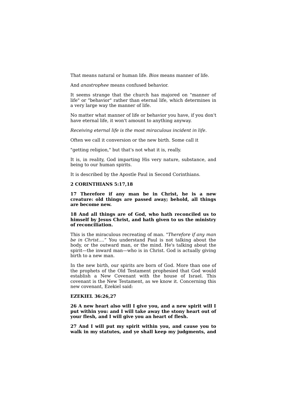That means natural or human life. *Bios* means manner of life.

And *anastrophee* means confused behavior.

It seems strange that the church has majored on "manner of life" or "behavior" rather than eternal life, which determines in a very large way the manner of life.

No matter what manner of life or behavior you have, if you don't have eternal life, it won't amount to anything anyway.

*Receiving eternal life is the most miraculous incident in life.*

Often we call it conversion or the new birth. Some call it

"getting religion," but that's not what it is, really.

It is, in reality, God imparting His very nature, substance, and being to our human spirits.

It is described by the Apostle Paul in Second Corinthians.

# **2 CORINTHIANS 5:17,18**

**17 Therefore if any man be in Christ, he is a new creature: old things are passed away; behold, all things are become new.**

# **18 And all things are of God, who hath reconciled us to himself by Jesus Christ, and hath given to us the ministry of reconciliation.**

This is the miraculous recreating of man. *"Therefore if any man be in Christ...."* You understand Paul is not talking about the body, or the outward man, or the mind. He's talking about the spirit—the inward man—who is in Christ. God is actually giving birth to a new man.

In the new birth, our spirits are born of God. More than one of the prophets of the Old Testament prophesied that God would establish a New Covenant with the house of Israel. This covenant is the New Testament, as we know it. Concerning this new covenant, Ezekiel said:

#### **EZEKIEL 36:26,27**

**26 A new heart also will I give you, and a new spirit will I put within you: and I will take away the stony heart out of your flesh, and I will give you an heart of flesh.**

**27 And I will put my spirit within you, and cause you to walk in my statutes, and ye shall keep my judgments, and**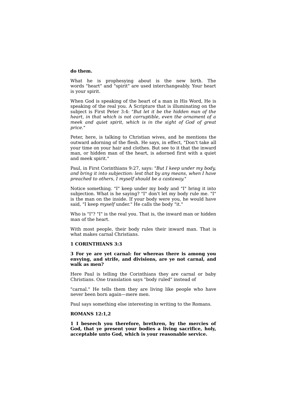# **do them.**

What he is prophesying about is the new birth. The words "heart" and "spirit" are used interchangeably. Your heart is your spirit.

When God is speaking of the heart of a man in His Word, He is speaking of the real you. A Scripture that is illuminating on the subject is First Peter 3:4: *"But let it be the hidden man of the heart, in that which is not corruptible, even the ornament of a meek and quiet spirit, which is in the sight of God of great price."*

Peter, here, is talking to Christian wives, and he mentions the outward adorning of the flesh. He says, in effect, "Don't take all your time on your hair and clothes. But see to it that the inward man, or hidden man of the heart, is adorned first with a quiet and meek spirit."

Paul, in First Corinthians 9:27, says: *"But I keep under my body, and bring it into subjection: lest that by any means, when I have preached to others, I myself should be a castaway."*

Notice something. "I" keep under my body and "I" bring it into subjection. What is he saying? "I" don't let my body rule me. "I" is the man on the inside. If your body were you, he would have said, "I keep *myself* under." He calls the body "it."

Who is "I"? "I" is the real you. That is, the inward man or hidden man of the heart.

With most people, their body rules their inward man. That is what makes carnal Christians.

#### **1 CORINTHIANS 3:3**

**3 For ye are yet carnal: for whereas there is among you envying, and strife, and divisions, are ye not carnal, and walk as men?**

Here Paul is telling the Corinthians they are carnal or baby Christians. One translation says "body ruled" instead of

"carnal." He tells them they are living like people who have never been born again—mere men.

Paul says something else interesting in writing to the Romans.

# **ROMANS 12:1,2**

**1 I beseech you therefore, brethren, by the mercies of God, that ye present your bodies a living sacrifice, holy, acceptable unto God, which is your reasonable service.**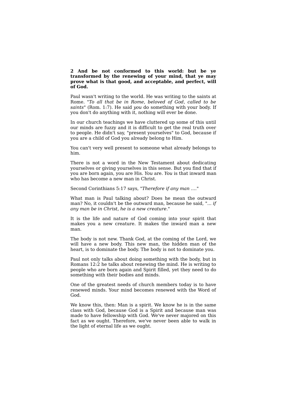# **2 And be not conformed to this world: but be ye transformed by the renewing of your mind, that ye may prove what is that good, and acceptable, and perfect, will of God.**

Paul wasn't writing to the world. He was writing to the saints at Rome. *"To all that be in Rome, beloved of God, called to be saints"* (Rom. 1:7). He said *you* do something with your body. If you don't do anything with it, nothing will ever be done.

In our church teachings we have cluttered up some of this until our minds are fuzzy and it is difficult to get the real truth over to people. He didn't say, "present yourselves" to God, because if you are a child of God you already belong to Him.

You can't very well present to someone what already belongs to him.

There is not a word in the New Testament about dedicating yourselves or giving yourselves in this sense. But you find that if you are born again, you are His. *You* are. *You* is that inward man who has become a new man in Christ.

Second Corinthians 5:17 says, *"Therefore if any man* ...."

What man is Paul talking about? Does he mean the outward man? No, it couldn't be the outward man, because he said, *"... if any man be in Christ, he is a new creature."*

It is the life and nature of God coming into your spirit that makes you a new creature. It makes the inward man a new man.

The body is not new. Thank God, at the coming of the Lord, we will have a new body. This new man, the hidden man of the heart, is to dominate the body. The body is not to dominate you.

Paul not only talks about doing something with the body, but in Romans 12:2 he talks about renewing the mind. He is writing to people who are born again and Spirit filled, yet they need to do something with their bodies and minds.

One of the greatest needs of church members today is to have renewed minds. Your mind becomes renewed with the Word of God.

We know this, then: Man is a spirit. We know he is in the same class with God, because God is a Spirit and because man was made to have fellowship with God. We've never majored on this fact as we ought. Therefore, we've never been able to walk in the light of eternal life as we ought.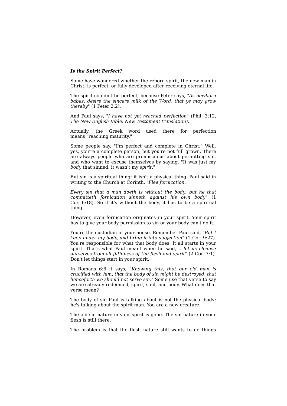# *Is the Spirit Perfect?*

Some have wondered whether the reborn spirit, the new man in Christ, is perfect, or fully developed after receiving eternal life.

The spirit couldn't be perfect, because Peter says, *"As newborn babes, desire the sincere milk of the Word, that ye may grow thereby"* (1 Peter 2:2).

And Paul says, *"I have not yet reached perfection"* (Phil. 3:12, *The New English Bible: New Testament translation).*

Actually, the Greek word used there for perfection means "reaching maturity."

Some people say, "I'm perfect and complete in Christ." Well, yes, you're a complete person, but you're not full grown. There are always people who are promiscuous about permitting sin, and who want to excuse themselves by saying, "It was just my *body* that sinned; it wasn't my *spirit."*

But sin is a spiritual thing; it isn't a physical thing. Paul said in writing to the Church at Corinth, *"Flee fornication.*

*Every sin that a man doeth is without the body; but he that committeth fornication sinneth against his own body"* (1 Cor. 6:18). So if it's without the body, it has to be a spiritual thing.

However, even fornication originates in your spirit. Your spirit has to give your body permission to sin or your body can't do it.

You're the custodian of your house. Remember Paul said, *"But I keep under my body, and bring it into subjection"* (1 Cor. 9:27). You're responsible for what that body does. It all starts in your spirit. That's what Paul meant when he said, .. *let us cleanse ourselves from all filthiness of the flesh and spirit"* (2 Cor. 7:1). Don't let things start in your spirit.

In Romans 6:6 it says, *"Knowing this, that our old man is crucified with him, that the body of sin might be destroyed, that henceforth we should not serve sin."* Some use that verse to say we are already redeemed, spirit, soul, and body. What does that verse mean?

The body of sin Paul is talking about is not the physical body; he's talking about the spirit man. You are a new creature.

The old sin nature in your spirit is gone. The sin nature in your flesh is still there.

The problem is that the flesh nature still wants to do things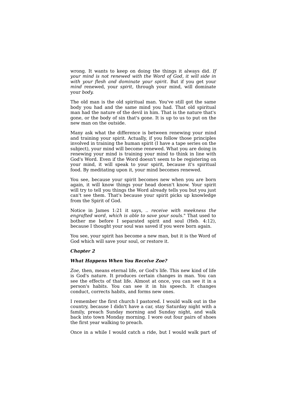wrong. It wants to keep on doing the things it always did. *If your mind is not renewed with the Word of God, it will side in with your flesh and dominate your spirit.* But if you get your *mind* renewed, your *spirit,* through your mind, will dominate your *body.*

The old man is the old spiritual man. You've still got the same body you had and the same mind you had. That old spiritual man had the nature of the devil in him. That is the nature that's gone, or the body of sin that's gone. It is up to us to put on the new man on the outside.

Many ask what the difference is between renewing your mind and training your spirit. Actually, if you follow those principles involved in training the human spirit (I have a tape series on the subject), your mind will become renewed. What you are doing in renewing your mind is training your mind to think in line with God's Word. Even if the Word doesn't seem to be registering on your mind, it will speak to your spirit, because it's spiritual food. By meditating upon it, your mind becomes renewed.

You see, because your spirit becomes new when you are born again, it will know things your head doesn't know. Your spirit will try to tell you things the Word already tells you but you just can't see them. That's because your spirit picks up knowledge from the Spirit of God.

Notice in James 1:21 it says, *.. receive with meekness the engrafted word, which is able to save your souls."* That used to bother me before I separated spirit and soul (Heb. 4:12), because I thought your soul was saved if you were born again.

You see, your spirit has become a new man, but it is the Word of God which will save your soul, or restore it.

## *Chapter 2*

#### *What Happens When You Receive Zoe?*

*Zoe,* then, means eternal life, or God's life. This new kind of life is God's nature. It produces certain changes in man. You can see the effects of that life. Almost at once, you can see it in a person's habits. You can see it in his speech. It changes conduct, corrects habits, and forms new ones.

I remember the first church I pastored. I would walk out in the country, because I didn't have a car, stay Saturday night with a family, preach Sunday morning and Sunday night, and walk back into town Monday morning. I wore out four pairs of shoes the first year walking to preach.

Once in a while I would catch a ride, but I would walk part of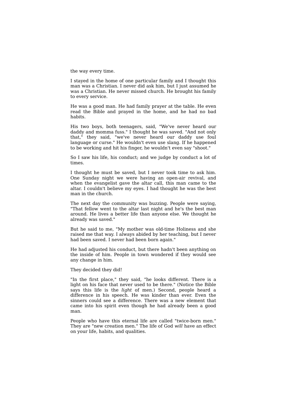the way every time.

I stayed in the home of one particular family and I thought this man was a Christian. I never did ask him, but I just assumed he was a Christian. He never missed church. He brought his family to every service.

He was a good man. He had family prayer at the table. He even read the Bible and prayed in the home, and he had no bad habits.

His two boys, both teenagers, said, "We've never heard our daddy and momma fuss." I thought he was saved. "And not only that," they said, "we've never heard our daddy use foul language or curse." He wouldn't even use slang. If he happened to be working and hit his finger, he wouldn't even say "shoot."

So I saw his life, his conduct; and we judge by conduct a lot of times.

I thought he must be saved, but I never took time to ask him. One Sunday night we were having an open-air revival, and when the evangelist gave the altar call, this man came to the altar. I couldn't believe my eyes. I had thought he was the best man in the church.

The next day the community was buzzing. People were saying, "That fellow went to the altar last night and he's the best man around. He lives a better life than anyone else. We thought he already was saved."

But he said to me, "My mother was old-time Holiness and she raised me that way. I always abided by her teaching, but I never had been saved. I never had been born again."

He had adjusted his conduct, but there hadn't been anything on the inside of him. People in town wondered if they would see any change in him.

They decided they did!

"In the first place," they said, "he looks different. There is a light on his face that never used to be there." (Notice the Bible says this life is the *light* of men.) Second, people heard a difference in his speech. He was kinder than ever. Even the sinners could see a difference. There was a new element that came into his spirit even though he had already been a good man.

People who have this eternal life are called "twice-born men." They are "new creation men." The life of God *will* have an effect on your life, habits, and qualities.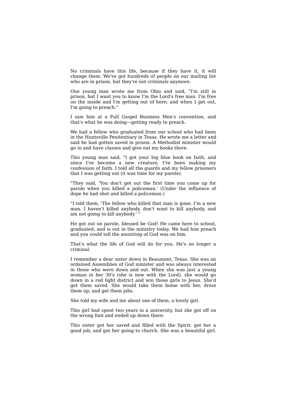No criminals have this life, because if they have it, it will change them. We've got hundreds of people on our mailing list who are in prison, but they're not criminals anymore.

One young man wrote me from Ohio and said, "I'm still in prison, but I want you to know I'm the Lord's free man. I'm free on the inside and I'm getting out of here; and when I get out, I'm going to preach."

I saw him at a Full Gospel Business Men's convention, and that's what he was doing—getting ready to preach.

We had a fellow who graduated from our school who had been in the Huntsville Penitentiary in Texas. He wrote me a letter and said he had gotten saved in prison. A Methodist minister would go in and have classes and give out my books there.

This young man said, "I got your big blue book on faith, and since I've become a new creature, I've been making my confession of faith. I told all the guards and my fellow prisoners that I was getting out (it was time for my parole).

"They said, 'You don't get out the first time you come up for parole when you killed a policeman.' (Under the influence of dope he had shot and killed a policeman.)

"I told them, 'The fellow who killed that man is gone. I'm a new man. I haven't killed anybody, don't want to kill anybody, and am not going to kill anybody.'

He got out on parole, blessed be God! He came here to school, graduated, and is out in the ministry today. We had him preach and you could tell the anointing of God was on him.

That's what the life of God will do for you. He's no longer a criminal.

I remember a dear sister down in Beaumont, Texas. She was an ordained Assemblies of God minister and was always interested in those who were down and out. When she was just a young woman in her 30's (she is now with the Lord), she would go down in a red light district and win those girls to Jesus. She'd get them saved. She would take them home with her, dress them up, and get them jobs.

She told my wife and me about one of them, a lovely girl.

This girl had spent two years in a university, but she got off on the wrong foot and ended up down there.

This sister got her saved and filled with the Spirit; got her a good job, and got her going to church. She was a beautiful girl.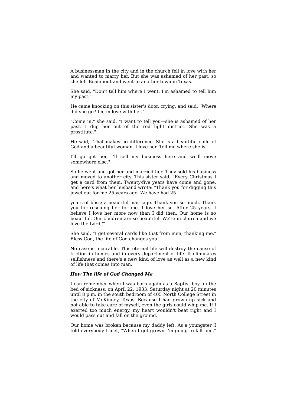A businessman in the city and in the church fell in love with her and wanted to marry her. But she was ashamed of her past, so she left Beaumont and went to another town in Texas.

She said, "Don't tell him where I went. I'm ashamed to tell him my past."

He came knocking on this sister's door, crying, and said, "Where did she go? I'm in love with her."

"Come in," she said. "I want to tell you—she is ashamed of her past. I dug her out of the red light district. She was a prostitute."

He said, "That makes no difference. She is a beautiful child of God and a beautiful woman. I love her. Tell me where she is.

I'll go get her. I'll sell my business here and we'll move somewhere else."

So he went and got her and married her. They sold his business and moved to another city. This sister said, "Every Christmas I get a card from them. Twenty-five years have come and gone, and here's what her husband wrote: "Thank you for digging this jewel out for me 25 years ago. We have had 25

years of bliss; a beautiful marriage. Thank you so much. Thank you for rescuing her for me. I love her so. After 25 years, I believe I love her more now than I did then. Our home is so beautiful. Our children are so beautiful. We're in church and we love the Lord.'"

She said, "I get several cards like that from men, thanking me." Bless God, the life of God changes you!

No case is incurable. This eternal life will destroy the cause of friction in homes and in every department of life. It eliminates selfishness and there's a new kind of love as well as a new kind of life that comes into man.

# *How The life of God Changed Me*

I can remember when I was born again as a Baptist boy on the bed of sickness, on April 22, 1933, Saturday night at 20 minutes until 8 p.m. in the south bedroom of 405 North College Street in the city of McKinney, Texas. Because I had grown up sick and not able to take care of myself, even the girls could whip me. If I exerted too much energy, my heart wouldn't beat right and I would pass out and fall on the ground.

Our home was broken because my daddy left. As a youngster, I told everybody I met, "When I get grown I'm going to kill him."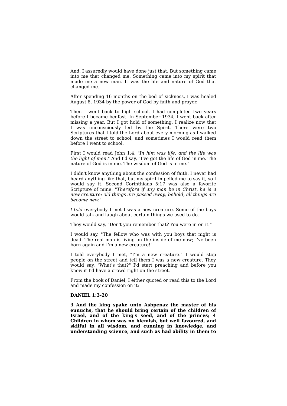And, I assuredly would have done just that. But something came into me that changed me. Something came into my spirit that made me a new man. It was the life and nature of God that changed me.

After spending 16 months on the bed of sickness, I was healed August 8, 1934 by the power of God by faith and prayer.

Then I went back to high school. I had completed two years before I became bedfast. In September 1934, I went back after missing a year. But I got hold of something. I realize now that I was unconsciously led by the Spirit. There were two Scriptures that I told the Lord about every morning as I walked down the street to school, and sometimes I would read them before I went to school.

First I would read John 1:4, *"In him was life; and the life was the light of men."* And I'd say, "I've got the life of God in me. The nature of God is in me. The wisdom of God is in me."

I didn't know anything about the confession of faith. I never had heard anything like that, but my spirit impelled me to say it, so I would say it. Second Corinthians 5:17 was also a favorite Scripture of mine: *"Therefore if any man be in Christ, he is a new creature: old things are passed away; behold, all things are become new."*

*I told* everybody I met I was a new creature. Some of the boys would talk and laugh about certain things we used to do.

They would say, "Don't you remember that? You were in on it."

I would say, "The fellow who was with you boys that night is dead. The real man is living on the inside of me now; I've been born again and I'm a new creature!"

I told everybody I met, "I'm a new creature." I would stop people on the street and tell them I was a new creature. They would say, "What's that?" I'd start preaching and before you knew it I'd have a crowd right on the street.

From the book of Daniel, I either quoted or read this to the Lord and made my confession on it:

# **DANIEL 1:3-20**

**3 And the king spake unto Ashpenaz the master of his eunuchs, that he should bring certain of the children of Israel, and of the king's seed, and of the princes; 4 Children in whom was no blemish, but well favoured, and skilful in all wisdom, and cunning in knowledge, and understanding science, and such as had ability in them to**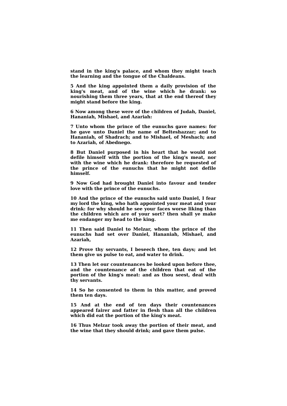**stand in the king's palace, and whom they might teach the learning and the tongue of the Chaldeans.**

**5 And the king appointed them a daily provision of the king's meat, and of the wine which he drank: so nourishing them three years, that at the end thereof they might stand before the king.**

**6 Now among these were of the children of Judah, Daniel, Hananiah, Mishael, and Azariah:**

**7 Unto whom the prince of the eunuchs gave names: for he gave unto Daniel the name of Belteshazzar; and to Hananiah, of Shadrach; and to Mishael, of Meshach; and to Azariah, of Abednego.**

**8 But Daniel purposed in his heart that he would not defile himself with the portion of the king's meat, nor with the wine which he drank: therefore he requested of the prince of the eunuchs that he might not defile himself.**

**9 Now God had brought Daniel into favour and tender love with the prince of the eunuchs.**

**10 And the prince of the eunuchs said unto Daniel, I fear my lord the king, who hath appointed your meat and your drink: for why should he see your faces worse liking than the children which are of your sort? then shall ye make me endanger my head to the king.**

**11 Then said Daniel to Melzar, whom the prince of the eunuchs had set over Daniel, Hananiah, Mishael, and Azariah,**

**12 Prove thy servants, I beseech thee, ten days; and let them give us pulse to eat, and water to drink.**

**13 Then let our countenances be looked upon before thee, and the countenance of the children that eat of the portion of the king's meat: and as thou seest, deal with thy servants.**

**14 So he consented to them in this matter, and proved them ten days.**

**15 And at the end of ten days their countenances appeared fairer and fatter in flesh than all the children which did eat the portion of the king's meat.**

**16 Thus Melzar took away the portion of their meat, and the wine that they should drink; and gave them pulse.**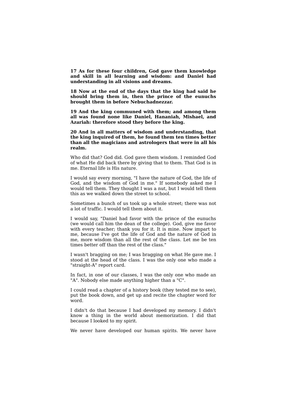**17 As for these four children, God gave them knowledge and skill in all learning and wisdom: and Daniel had understanding in all visions and dreams.**

**18 Now at the end of the days that the king had said he should bring them in, then the prince of the eunuchs brought them in before Nebuchadnezzar.**

**19 And the king communed with them; and among them all was found none like Daniel, Hananiah, Mishael, and Azariah: therefore stood they before the king.**

**20 And in all matters of wisdom and understanding, that the king inquired of them, he found them ten times better than all the magicians and astrologers that were in all his realm.**

Who did that? God did. God gave them wisdom. I reminded God of what He did back there by giving that to them. That God is in me. Eternal life is His nature.

I would say every morning, "I have the nature of God, the life of God, and the wisdom of God in me." If somebody asked me I would tell them. They thought I was a nut, but I would tell them this as we walked down the street to school.

Sometimes a bunch of us took up a whole street; there was not a lot of traffic. I would tell them about it.

I would say, "Daniel had favor with the prince of the eunuchs (we would call him the dean of the college). God, give me favor with every teacher; thank you for it. It is mine. Now impart to me, because I've got the life of God and the nature of God in me, more wisdom than all the rest of the class. Let me be ten times better off than the rest of the class."

I wasn't bragging on me; I was bragging on what He gave me. I stood at the head of the class. I was the only one who made a "straight-A" report card.

In fact, in one of our classes, I was the only one who made an "A". Nobody else made anything higher than a "C".

I could read a chapter of a history book (they tested me to see), put the book down, and get up and recite the chapter word for word.

I didn't do that because I had developed my memory. I didn't know a thing in the world about memorization. I did that because I looked to my spirit.

We never have developed our human spirits. We never have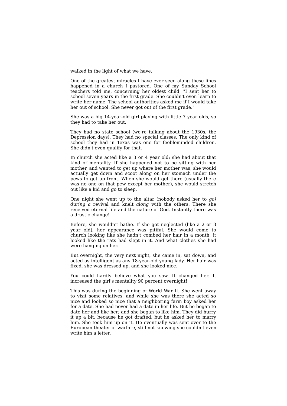walked in the light of what we have.

One of the greatest miracles I have ever seen along these lines happened in a church I pastored. One of my Sunday School teachers told me, concerning her oldest child, "I sent her to school seven years in the first grade. She couldn't even learn to write her name. The school authorities asked me if I would take her out of school. She never got out of the first grade."

She was a big 14-year-old girl playing with little 7 year olds, so they had to take her out.

They had no state school (we're talking about the 1930s, the Depression days). They had no special classes. The only kind of school they had in Texas was one for feebleminded children. She didn't even qualify for that.

In church she acted like a 3 or 4 year old; she had about that kind of mentality. If she happened not to be sitting with her mother, and wanted to get up where her mother was, she would actually get down and scoot along on her stomach under the pews to get up front. When she would get there (usually there was no one on that pew except her mother), she would stretch out like a kid and go to sleep.

One night she went up to the altar (nobody asked her to *go) during a* revival and knelt *along* with the others. There she received eternal life and the nature of God. Instantly there was a drastic change!

Before, she wouldn't bathe. If she got neglected (like a 2 or 3 year old), her appearance was pitiful. She would come to church looking like she hadn't combed her hair in a month; it looked like the rats had slept in it. And what clothes she had were hanging on her.

But overnight, the very next night, she came in, sat down, and acted as intelligent as any 18-year-old young lady. Her hair was fixed, she was dressed up, and she looked nice.

You could hardly believe what you saw. It changed her. It increased the girl's mentality 90 percent overnight!

This was during the beginning of World War II. She went away to visit some relatives, and while she was there she acted so nice and looked so nice that a neighboring farm boy asked her for a date. She had never had a date in her life. But he began to date her and like her; and she began to like him. They did hurry it up a bit, because he got drafted, but he asked her to marry him. She took him up on it. He eventually was sent over to the European theater of warfare, still not knowing she couldn't even write him a letter.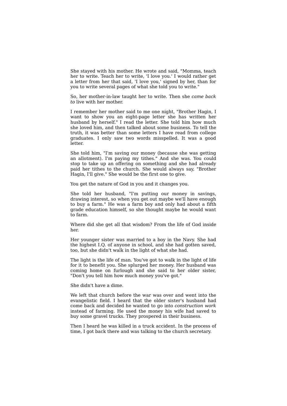She stayed with his mother. He wrote and said, "Momma, teach her to write. Teach her to write, 'I love you.' I would rather get a letter from her that said, 'I love you,' signed by her, than for you to write several pages of what she told you to write."

So, her mother-in-law taught her to write. Then she *came back to* live with her mother.

I remember her mother said to me one night, "Brother Hagin, I want to show you an eight-page letter she has written her husband by herself." I read the letter. She told him how much she loved him, and then talked about some business. To tell the truth, it was better than some letters I have read from college graduates. I only saw two words misspelled. It was a good letter.

She told him, "I'm saving our money (because she was getting an allotment). I'm paying my tithes." And she was. You could stop to take up an offering on something and she had already paid her tithes to the church. She would always say, "Brother Hagin, I'll give." She would be the first one to give.

You get the nature of God in you and it changes you.

She told her husband, "I'm putting our money in savings, drawing interest, so when you get out maybe we'll have enough to buy a farm." He was a farm boy and only had about a fifth grade education himself, so she thought maybe he would want to farm.

Where did she get all that wisdom? From the life of God inside her.

Her younger sister was married to a boy in the Navy. She had the highest I.Q. of anyone in school, and she had gotten saved, too, but she didn't walk in the light of what she had.

The light is the life of man. You've got to walk in the light of life for it to benefit you. She splurged her money. Her husband was coming home on furlough and she said to her older sister, "Don't you tell him how much money you've got."

She didn't have a dime.

We left that church before the war was over and went into the evangelistic field. I heard that the older sister's husband had come back and decided he wanted to go into *construction work* instead of farming. He used the money his wife had saved to buy some gravel trucks. They prospered in their business.

Then I heard he was killed in a truck accident. In the process of time, I got back there and was talking to the church secretary.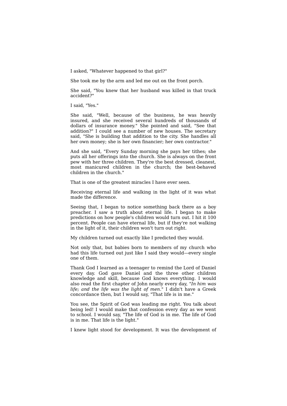I asked, "Whatever happened to that girl?"

She took me by the arm and led me out on the front porch.

She said, "You knew that her husband was killed in that truck accident?"

I said, "Yes."

She said, "Well, because of the business, he was heavily insured, and she received several hundreds of thousands of dollars of insurance money." She pointed and said, "See that addition?" I could see a number of new houses. The secretary said, "She is building that addition to the city. She handles all her own money; she is her own financier; her own contractor."

And she said, "Every Sunday morning she pays her tithes; she puts all her offerings into the church. She is always on the front pew with her three children. They're the best dressed, cleanest, most manicured children in the church; the best-behaved children in the church."

That is one of the greatest miracles I have ever seen.

Receiving eternal life and walking in the light of it was what made the difference.

Seeing that, I began to notice something back there as a boy preacher. I saw a truth about eternal life. I began to make predictions on how people's children would turn out. I hit it 100 percent. People can have eternal life, but if they're not walking in the light of it, their children won't turn out right.

My children turned out exactly like I predicted they would.

Not only that, but babies born to members of my church who had this life turned out just like I said they would—every single one of them.

Thank God I learned as a teenager to remind the Lord of Daniel every day. God gave Daniel and the three other children knowledge and skill, because God knows everything. I would also read the first chapter of John nearly every day, *"In him was life; and the life was the light of men."* I didn't have a Greek concordance then, but I would say, "That life is in me."

You see, the Spirit of God was leading me right. You talk about being led! I would make that confession every day as we went to school. I would say, "The life of God is in me. The life of God is in me. That life is the light."

I knew light stood for development. It was the development of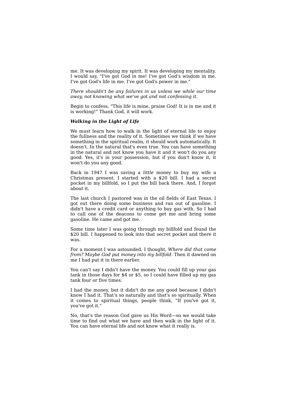me. It was developing my spirit. It was developing my mentality. I would say, "I've got God in me! I've got God's wisdom in me. I've got God's life in me. I've got God's power in me."

*There shouldn't be any failures in us unless we while our time away, not knowing what we've got and not confessing it.*

Begin to confess, "This life is mine, praise God! It is in me and it is working!" Thank God, it will work.

# *Walking in the Light of Life*

We must learn how to walk in the light of eternal life to enjoy the fullness and the reality of it. Sometimes we think if we have something in the spiritual realm, it should work automatically. It doesn't. In the natural that's even true. You can have something in the natural and not know you have it and it won't do you any good. Yes, it's in your possession, but if you don't know it, it won't do you any good.

Back in 1947 I was saving a *little* money to buy my wife a Christmas present. I started with a \$20 bill. I had a secret pocket in my billfold, so I put the bill back there. And, I forgot about it.

The last church I pastored was in the oil fields of East Texas. I got out there doing some business and ran out of gasoline. I didn't have a credit card or anything to buy gas with. So I had to call one of the deacons to come get me and bring some gasoline. He came and got me.

Some time later I was going through my billfold and found the \$20 bill. I happened to look into that secret pocket and there it was.

For a moment I was astounded. I thought, *Where did that come from? Maybe God put money into my billfold.* Then it dawned on me I had put it in there earlier.

You can't say I didn't have the money. You could fill up your gas tank in those days for \$4 or \$5, so I could have filled up my gas tank four or five times.

I had the money, but it didn't do me any good because I didn't know I had it. That's so naturally and that's so spiritually. When it comes to spiritual things, people think, "If you've got it, you've got it."

No, that's the reason God gave us His Word—so we would take time to find out what we have and then walk in the light of it. You can have eternal life and not know what it really is.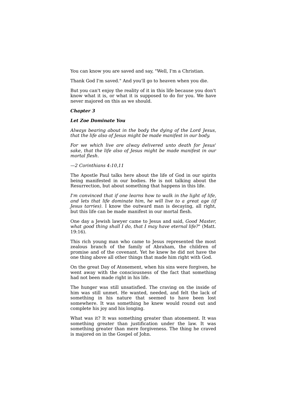You can know you are saved and say, "Well, I'm a Christian.

Thank God I'm saved." And you'll go to heaven when you die.

But you can't enjoy the reality of it in this life because you don't know what it is, or what it is supposed to do for you. We have never majored on this as we should.

#### *Chapter 3*

# *Let Zoe Dominate You*

*Always bearing about in the body the dying of the Lord Jesus, that the life also of Jesus might be made manifest in our body.*

*For we which live are alway delivered unto death for Jesus' sake, that the life also of Jesus might be made manifest in our mortal flesh.*

*—2 Corinthians 4:10,11*

The Apostle Paul talks here about the life of God in our spirits being manifested in our bodies. He is not talking about the Resurrection, but about something that happens in this life.

*I'm convinced that if one learns how to walk in the light of life, and lets that life dominate him, he will live to a great age (if Jesus tarries).* I know the outward man is decaying, all right, but this life can be made manifest in our mortal flesh.

One day a Jewish lawyer came to Jesus and said, *Good Master, what good thing shall I do, that I may have eternal life?"* (Matt. 19:16).

This rich young man who came to Jesus represented the most zealous branch of the family of Abraham, the children of promise and of the covenant. Yet he knew he did not have the one thing above all other things that made him right with God.

On the great Day of Atonement, when his sins were forgiven, he went away with the consciousness of the fact that something had not been made right in his life.

The hunger was still unsatisfied. The craving on the inside of him was still unmet. He wanted, needed, and felt the lack of something in his nature that seemed to have been lost somewhere. It was something he knew would round out and complete his joy and his longing.

What was it? It was something greater than atonement. It was something greater than justification under the law. It was something greater than mere forgiveness. The thing he craved is majored on in the Gospel of John.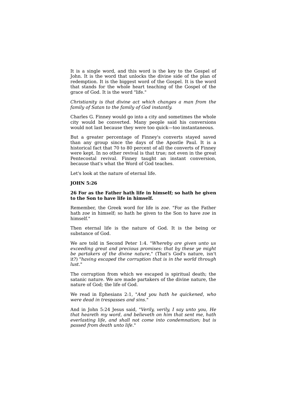It is a single word, and this word is the key to the Gospel of John. It is the word that unlocks the divine side of the plan of redemption. It is the biggest word of the Gospel. It is the word that stands for the whole heart teaching of the Gospel of the grace of God. It is the word "life."

*Christianity is that divine act which changes a man from the family of Satan to the family of God instantly.*

Charles G. Finney would go into a city and sometimes the whole city would be converted. Many people said his conversions would not last because they were too quick—too instantaneous.

But a greater percentage of Finney's converts stayed saved than any group since the days of the Apostle Paul. It is a historical fact that 70 to 80 percent of all the converts of Finney were kept. In no other revival is that true; not even in the great Pentecostal revival. Finney taught an instant conversion, because that's what the Word of God teaches.

Let's look at the nature of eternal life.

# **JOHN 5:26**

# **26 For as the Father hath life in himself; so hath he given to the Son to have life in himself.**

Remember, the Greek word for life is *zoe.* "For as the Father hath *zoe* in himself; so hath he given to the Son to have *zoe* in himself."

Then eternal life is the nature of God. It is the being or substance of God.

We are told in Second Peter 1:4. *"Whereby are given unto us exceeding great and precious promises: that by these ye might be partakers of the divine nature,"* (That's God's nature, isn't it?) *"having escaped the corruption that is in the world through lust."*

The corruption from which we escaped is spiritual death; the satanic nature. We are made partakers of the divine nature, the nature of God; the life of God.

We read in Ephesians 2:1, *"And you hath he quickened, who were dead in trespasses and sins."*

And in John 5:24 Jesus said, *"Verily, verily, I say unto you, He that heareth my word, and believeth on him that sent me, hath everlasting life, and shall not come into condemnation; but is passed from death unto life."*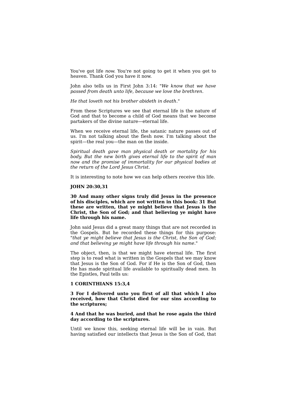You've got life *now.* You're not going to get it when you get to heaven. Thank God you have it now.

John also tells us in First John 3:14: *"We know that we have passed from death unto life, because we love the brethren.*

*He that loveth not his brother abideth in death."*

From these Scriptures we see that eternal life is the nature of God and that to become a child of God means that we become partakers of the divine nature—eternal life.

When we receive eternal life, the satanic nature passes out of us. I'm not talking about the flesh now. I'm talking about the spirit—the real you—the man on the inside.

*Spiritual death gave man physical death or mortality for his body. But the new birth gives eternal life to the spirit of man now and the promise of immortality for our physical bodies at the return of the Lord Jesus Christ.*

It is interesting to note how we can help others receive this life.

# **JOHN 20:30,31**

**30 And many other signs truly did Jesus in the presence of his disciples, which are not written in this book: 31 But these are written, that ye might believe that Jesus is the Christ, the Son of God; and that believing ye might have life through his name.**

John said Jesus did a great many things that are not recorded in the Gospels. But he recorded these things for this purpose: *"that ye might believe that Jesus is the Christ, the Son of God; and that believing ye might have life through his name."*

The object, then, is that we might have eternal life. The first step is to read what is written in the Gospels that we may know that Jesus is the Son of God. For if He is the Son of God, then He has made spiritual life available to spiritually dead men. In the Epistles, Paul tells us:

# **1 CORINTHIANS 15:3,4**

**3 For I delivered unto you first of all that which I also received, how that Christ died for our sins according to the scriptures;**

# **4 And that he was buried, and that he rose again the third day according to the scriptures.**

Until we know this, seeking eternal life will be in vain. But having satisfied our intellects that Jesus is the Son of God, that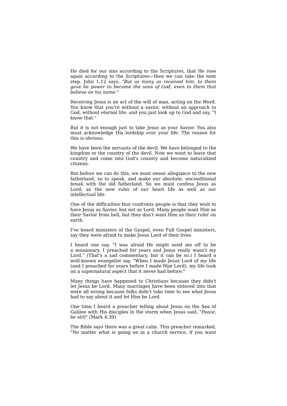He died for our sins according to the Scriptures, that He rose again according to the Scriptures—then we can take the next step. John 1:12 says, *"But as many as received him, to them gave he power to become the sons of God, even to them that believe on his name."*

Receiving Jesus is an act of the will of man, acting on the Word. You know that you're without a savior, without an approach to God, without eternal life; and you just look up to God and say, "I know that."

But it is not enough just to take Jesus as your Savior. You also must acknowledge His lordship over your life. The reason for this is obvious.

We have been the servants of the devil. We have belonged to the kingdom or the country of the devil. Now we want to leave that country and come into God's country and become naturalized citizens.

But before we can do this, we must swear allegiance to the new fatherland, so to speak, and make our absolute, unconditional break with the old fatherland. So we must confess Jesus as Lord; as the new ruler of our heart life as well as our intellectual life.

One of the difficulties that confronts people is that they wish to have Jesus as Savior, but not as Lord. Many people want Him as their Savior from hell, but they don't want Him as their ruler on earth.

I've heard ministers of the Gospel, even Full Gospel ministers, say they were afraid to make Jesus Lord of their lives.

I heard one say, "I was afraid He might send me off to be a missionary. I preached for years and Jesus really wasn't my Lord." (That's a sad commentary, but it can be so.) I heard a well-known evangelist say, "When I made Jesus Lord of my life (and I preached for years before I made Him Lord), my life took on a supernatural aspect that it never had before."

Many things have happened to Christians because they didn't let Jesus be Lord. Many marriages have been entered into that were all wrong because folks didn't take time to see what Jesus had to say about it and let Him be Lord.

One time I heard a preacher telling about Jesus on the Sea of Galilee with His disciples in the storm when Jesus said, *"Peace, be still"* (Mark 4:39).

The Bible says there was a great calm. This preacher remarked, "No matter what is going on in a church service, if you want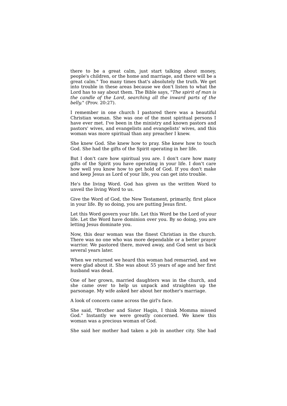there to be a great calm, just start talking about money, people's children, or the home and marriage, and there will be a great calm." Too many times that's absolutely the truth. We get into trouble in these areas because we don't listen to what the Lord has to say about them. The Bible says, *"The spirit of man is the candle of the Lord, searching all the inward parts of the belly."* (Prov. 20:27).

I remember in one church I pastored there was a beautiful Christian woman. She was one of the most spiritual persons I have ever met. I've been in the ministry and known pastors and pastors' wives, and evangelists and evangelists' wives, and this woman was more spiritual than any preacher I knew.

She knew God. She knew how to pray. She knew how to touch God. She had the gifts of the Spirit operating in her life.

But I don't care how spiritual you are. I don't care how many gifts of the Spirit you have operating in your life. I don't care how well you know how to get hold of God. If you don't make and keep Jesus as Lord of your life, you can get into trouble.

He's the living Word. God has given us the written Word to unveil the living Word to us.

Give the Word of God, the New Testament, primarily, first place in your life. By so doing, you are putting Jesus first.

Let this Word govern your life. Let this Word be the Lord of your life. Let the Word have dominion over you. By so doing, you are letting Jesus dominate you.

Now, this dear woman was the finest Christian in the church. There was no one who was more dependable or a better prayer warrior. We pastored there, moved away, and God sent us back several years later.

When we returned we heard this woman had remarried, and we were glad about it. She was about 55 years of age and her first husband was dead.

One of her grown, married daughters was in the church, and she came over to help us unpack and straighten up the parsonage. My wife asked her about her mother's marriage.

A look of concern came across the girl's face.

She said, "Brother and Sister Hagin, I think Momma missed God." Instantly we were greatly concerned. We knew this woman was a precious woman of God.

She said her mother had taken a job in another city. She had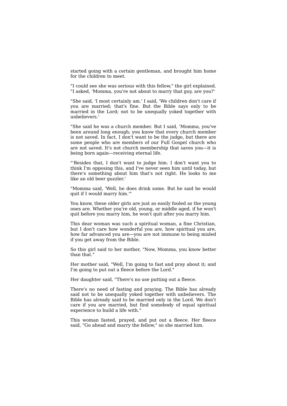started going with a certain gentleman, and brought him home for the children to meet.

"I could see she was serious with this fellow," the girl explained. "I asked, 'Momma, you're not about to marry that guy, are you?'

"She said, 'I most certainly am.' I said, 'We children don't care if you are married; that's fine. But the Bible says only to be married in the Lord; not to be unequally yoked together with unbelievers.'

"She said he was a church member. But I said, 'Momma, you've been around long enough; you know that every church member is not saved. In fact, I don't want to be the judge, but there are some people who are members of our Full Gospel church who are not saved. It's not church membership that saves you—it is being born again—receiving eternal life.

"'Besides that, I don't want to judge him. I don't want you to think I'm opposing this, and I've never seen him until today, but there's something about him that's not right. He looks to me like an old beer guzzler.'

"Momma said, 'Well, he does drink some. But he said he would quit if I would marry him.'"

You know, these older girls are just as easily fooled as the young ones are. Whether you're old, young, or middle aged, if he won't quit before you marry him, he won't quit after you marry him.

This dear woman was such a spiritual woman, a fine Christian, but I don't care how wonderful you are, how spiritual you are, how far advanced you are—you are not immune to being misled if you get away from the Bible.

So this girl said to her mother, "Now, Momma, you know better than that."

Her mother said, "Well, I'm going to fast and pray about it; and I'm going to put out a fleece before the Lord."

Her daughter said, "There's no use putting out a fleece.

There's no need of fasting and praying. The Bible has already said not to be unequally yoked together with unbelievers. The Bible has already said to be married only in the Lord. We don't care if you are married, but find somebody of equal spiritual experience to build a life with."

This woman fasted, prayed, and put out a fleece. Her fleece said, "Go ahead and marry the fellow," so she married him.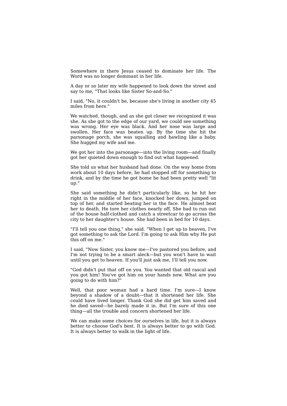Somewhere in there Jesus ceased to dominate her life. The Word was no longer dominant in her life.

A day or so later my wife happened to look down the street and say to me, "That looks like Sister So-and-So."

I said, "No, it couldn't be, because she's living in another city 45 miles from here."

We watched, though, and as she got closer we recognized it was she. As she got to the edge of our yard, we could see something was wrong. Her eye was black. And her nose was large and swollen. Her face was beaten up. By the time she hit the parsonage porch, she was squalling and bawling like a baby. She hugged my wife and me.

We got her into the parsonage—into the living room—and finally got her quieted down enough to find out what happened.

She told us what her husband had done. On the way home from work about 10 days before, he had stopped off for something to drink, and by the time he got home he had been pretty well "lit" up."

She said something he didn't particularly like, so he hit her right in the middle of her face, knocked her down, jumped on top of her, and started beating her in the face. He almost beat her to death. He tore her clothes nearly off. She had to run out of the house half-clothed and catch a streetcar to go across the city to her daughter's house. She had been in bed for 10 days.

"I'll tell you one thing," she said. "When I get up to heaven, I've got something to ask the Lord. I'm going to ask Him why He put this off on me."

I said, "Now Sister, you know me—I've pastored you before, and I'm not trying to be a smart aleck—but you won't have to wait until you get to heaven. If you'll just ask me, I'll tell you now.

"God didn't put that off on you. You wanted that old rascal and you got him! You've got him on your hands now. What are you going to do with him?"

Well, that poor woman had a hard time. I'm sure—I know beyond a shadow of a doubt—that it shortened her life. She could have lived longer. Thank God she did get him saved and he died saved—he barely made it in. But I'm sure of this one thing—all the trouble and concern shortened her life.

We can make some choices for ourselves in life, but it is always better to choose God's best. It is always better to go with God. It is always better to walk in the light of life.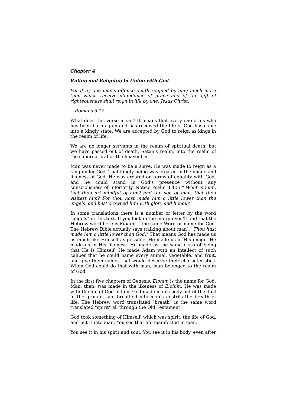# *Chapter 4*

#### *Ruling and Reigning in Union with God*

*For if by one man's offence death reigned by one; much more they which receive abundance of grace and of the gift of righteousness shall reign in life by one, Jesus Christ.*

#### *—Romans 5:17*

What does this verse mean? It means that every one of us who has been born again and has received the life of God has come into a kingly state. We are accepted by God to reign as kings in the realm of life.

We are no longer servants in the realm of spiritual death, but we have passed out of death, Satan's realm, into the realm of the supernatural or the heavenlies.

Man was never made to be a slave. He was made to reign as a king under God. That kingly being was created in the image and likeness of God. He was created on terms of equality with God, and he could stand in God's presence without any consciousness of inferiority. Notice Psalm 8:4,5: " *What is man, that thou art mindful of him? and the son of man, that thou visitest him? For thou hast made him a little lower than the angels, and hast crowned him with glory and honour."*

In some translations there is a number or letter by the word "angels" in this text. If you look in the margin you'll find that the Hebrew word here is *Elohim—* the same Word or name for God. The Hebrew Bible actually says (talking about man), *"Thou hast made him a little lower than God."* That means God has made us as much like Himself as possible. He made us in His image. He made us in His likeness. He made us the same class of being that He is Himself. He made Adam with an intellect of such caliber that he could name every animal, vegetable, and fruit, and give them names that would describe their characteristics. When God could do that with man, man belonged to the realm of God.

In the first five chapters of Genesis, *Elohim* is the name for God. Man, then, was made in the likeness of *Elohim.* He was made with the life of God in him. God made man's body out of the dust of the ground, and breathed into man's nostrils the breath of life. The Hebrew word translated "breath" is the same word translated "spirit" all through the Old Testament.

God took something of Himself, which was spirit, the life of God, and put it into man. You see that life manifested in man.

You see it in his spirit and soul. You see it in his body, even after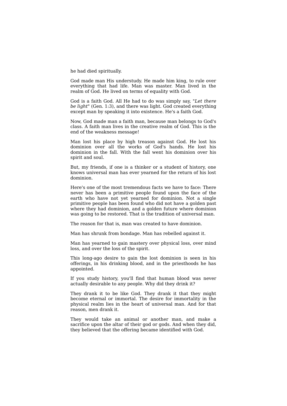he had died spiritually.

God made man His understudy. He made him king, to rule over everything that had life. Man was master. Man lived in the realm of God. He lived on terms of equality with God.

God is a faith God. All He had to do was simply say, *"Let there be light"* (Gen. 1:3), and there was light. God created everything except man by speaking it into existence. He's a faith God.

Now, God made man a faith man, because man belongs to God's class. A faith man lives in the creative realm of God. This is the end of the weakness message!

Man lost his place by high treason against God. He lost his dominion over all the works of God's hands. He lost his dominion in the fall. With the fall went his dominion over his spirit and soul.

But, my friends, if one is a thinker or a student of history, one knows universal man has ever yearned for the return of his lost dominion.

Here's one of the most tremendous facts we have to face: There never has been a primitive people found upon the face of the earth who have not yet yearned for dominion. Not a single primitive people has been found who did not have a golden past where they had dominion, and a golden future where dominion was going to be restored. That is the tradition of universal man.

The reason for that is, man was created to have dominion.

Man has shrunk from bondage. Man has rebelled against it.

Man has yearned to gain mastery over physical loss, over mind loss, and over the loss of the spirit.

This long-ago desire to gain the lost dominion is seen in his offerings, in his drinking blood, and in the priesthoods he has appointed.

If you study history, you'll find that human blood was never actually desirable to any people. Why did they drink it?

They drank it to be like God. They drank it that they might become eternal or immortal. The desire for immortality in the physical realm lies in the heart of universal man. And for that reason, men drank it.

They would take an animal or another man, and make a sacrifice upon the altar of their god or gods. And when they did, they believed that the offering became identified with God.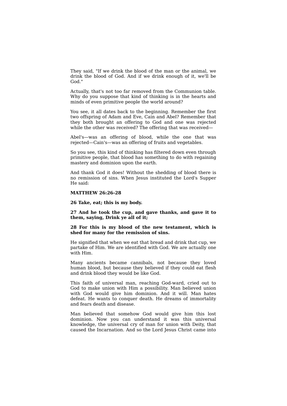They said, "If we drink the blood of the man or the animal, we drink the blood of God. And if we drink enough of it, we'll be God."

Actually, that's not too far removed from the Communion table. Why do you suppose that kind of thinking is in the hearts and minds of even primitive people the world around?

You see, it all dates back to the beginning. Remember the first two offspring of Adam and Eve, Cain and Abel? Remember that they both brought an offering to God and one was rejected while the other was received? The offering that was received—

Abel's—was an offering of blood, while the one that was rejected—Cain's—was an offering of fruits and vegetables.

So you see, this kind of thinking has filtered down even through primitive people, that blood has something to do with regaining mastery and dominion upon the earth.

And thank God it does! Without the shedding of blood there is no remission of sins. When Jesus instituted the Lord's Supper He said:

# **MATTHEW 26:26-28**

**26 Take, eat; this is my body.**

**27 And he took the cup, and gave thanks, and gave it to them, saying, Drink ye all of it;**

# **28 For this is my blood of the new testament, which is shed for many for the remission of sins.**

He signified that when we eat that bread and drink that cup, we partake of Him. We are identified with God. We are actually one with Him.

Many ancients became cannibals, not because they loved human blood, but because they believed if they could eat flesh and drink blood they would be like God.

This faith of universal man, reaching God-ward, cried out to God to make union with Him a possibility. Man believed union with God would give him dominion. And it will. Man hates defeat. He wants to conquer death. He dreams of immortality and fears death and disease.

Man believed that somehow God would give him this lost dominion. Now you can understand it was this universal knowledge, the universal cry of man for union with Deity, that caused the Incarnation. And so the Lord Jesus Christ came into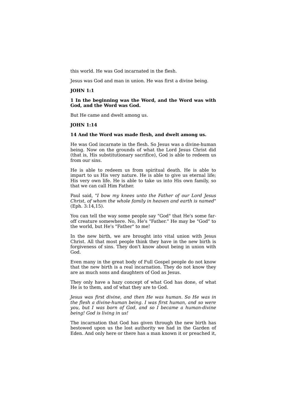this world. He was God incarnated in the flesh.

Jesus was God and man in union. He was first a divine being.

#### **JOHN 1:1**

# **1 In the beginning was the Word, and the Word was with God, and the Word was God.**

But He came and dwelt among us.

## **JOHN 1:14**

# **14 And the Word was made flesh, and dwelt among us.**

He was God incarnate in the flesh. So Jesus was a divine-human being. Now on the grounds of what the Lord Jesus Christ did (that is, His substitutionary sacrifice), God is able to redeem us from our sins.

He is able to redeem us from spiritual death. He is able to impart to us His very nature. He is able to give us eternal life; His very own life. He is able to take us into His own family, so that we can call Him Father.

Paul said, *"I bow my knees unto the Father of our Lord Jesus Christ, of whom the whole family in heaven and earth is named"* (Eph. 3:14,15).

You can tell the way some people say "God" that He's some faroff creature somewhere. No, He's "Father." He may be "God" to the world, but He's "Father" to me!

In the new birth, we are brought into vital union with Jesus Christ. All that most people think they have in the new birth is forgiveness of sins. They don't know about being in union with God.

Even many in the great body of Full Gospel people do not know that the new birth is a real incarnation. They do not know they are as much sons and daughters of God as Jesus.

They only have a hazy concept of what God has done, of what He is to them, and of what they are to God.

*Jesus was first divine, and then He was human. So He was in the flesh a divine-human being. I was first human, and so were you, but I was born of God, and so I became a human-divine being! God is living in us!*

The incarnation that God has given through the new birth has bestowed upon us the lost authority we had in the Garden of Eden. And only here or there has a man known it or preached it,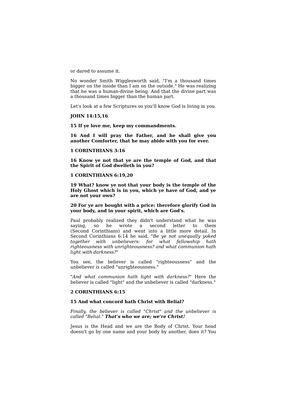or dared to assume it.

No wonder Smith Wigglesworth said, "I'm a thousand times bigger on the inside than I am on the outside." He was realizing that he was a human-divine being. And that the divine part was a thousand times bigger than the human part.

Let's look at a few Scriptures so you'll know God is living in you.

#### **JOHN 14:15,16**

**15 If ye love me, keep my commandments.**

**16 And I will pray the Father, and he shall give you another Comforter, that he may abide with you for ever.**

## **1 CORINTHIANS 3:16**

**16 Know ye not that ye are the temple of God, and that the Spirit of God dwelleth in you?**

# **1 CORINTHIANS 6:19,20**

**19 What? know ye not that your body is the temple of the Holy Ghost which is in you, which ye have of God, and ye are not your own?**

# **20 For ye are bought with a price: therefore glorify God in your body, and in your spirit, which are God's.**

Paul probably realized they didn't understand what he was saying, so he wrote a second letter to them (Second Corinthians) and went into a little more detail. In Second Corinthians 6:14 he said, *"Be ye not unequally yoked together with unbelievers: for what fellowship hath righteousness with unrighteousness? and what communion hath light with darkness?"*

You see, the believer is called "righteousness" and the unbeliever is called "unrighteousness."

*"And what communion hath light with darkness?"* Here the believer is called "light" and the unbeliever is called "darkness."

#### **2 CORINTHIANS 6:15**

## **15 And what concord hath Christ with Belial?**

*Finally, the believer is called "Christ" and the unbeliever is called "Belial." That's who we are; we're Christ!*

Jesus is the Head and we are the Body of Christ. Your head doesn't go by one name and your body by another, does it? You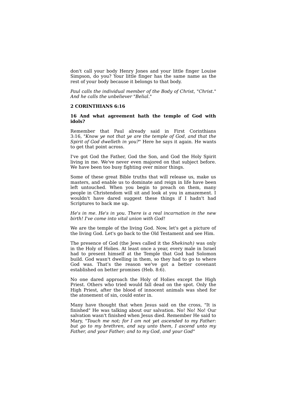don't call your body Henry Jones and your little finger Louise Simpson, do you? Your little finger has the same name as the rest of your body because it belongs to that body.

*Paul calls the individual member of the Body of Christ, "Christ." And he calls the unbeliever "Belial."*

## **2 CORINTHIANS 6:16**

## **16 And what agreement hath the temple of God with idols?**

Remember that Paul already said in First Corinthians 3:16, *"Know ye not that ye are the temple of God, and that the Spirit of God dwelleth in you?"* Here he says it again. He wants to get that point across.

I've got God the Father, God the Son, and God the Holy Spirit living in me. We've never even majored on that subject before. We have been too busy fighting over minor things.

Some of these great Bible truths that will release us, make us masters, and enable us to dominate and reign in life have been left untouched. When you begin to preach on them, many people in Christendom will sit and look at you in amazement. I wouldn't have dared suggest these things if I hadn't had Scriptures to back me up.

*He's in me. He's in you. There is a real incarnation in the new birth! I've come into vital union with God!*

We are the temple of the living God. Now, let's get a picture of the living God. Let's go back to the Old Testament and see Him.

The presence of God (the Jews called it the *Shekinah)* was only in the Holy of Holies. At least once a year, every male in Israel had to present himself at the Temple that God had Solomon build. God wasn't dwelling in them, so they had to go to where God was. That's the reason we've got a better covenant established on better promises (Heb. 8:6).

No one dared approach the Holy of Holies except the High Priest. Others who tried would fall dead on the spot. Only the High Priest, after the blood of innocent animals was shed for the atonement of sin, could enter in.

Many have thought that when Jesus said on the cross, "It is finished" He was talking about our salvation. No! No! No! Our salvation wasn't finished when Jesus died. Remember He said to Mary, *"Touch me not; for I am not yet ascended to my Father: but go to my brethren, and say unto them, I ascend unto my Father, and your Father; and to my God, and your God"*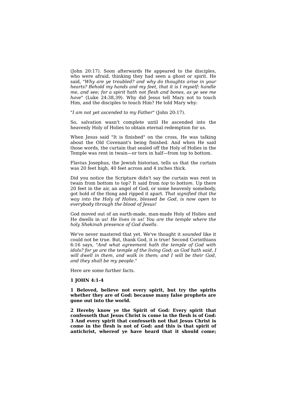(John 20:17). Soon afterwards He appeared to the disciples, who were afraid, thinking they had seen a ghost or spirit. He said, *"Why are ye troubled? and why do thoughts arise in your hearts? Behold my hands and my feet, that it is I myself: handle me, and see; for a spirit hath not flesh and bones, as ye see me have"* (Luke 24:38,39). Why did Jesus tell Mary not to touch Him, and the disciples to touch Him? He told Mary why:

*"I am not yet ascended to my Father"* (John 20:17).

So, salvation wasn't complete until He ascended into the heavenly Holy of Holies to obtain eternal redemption for us.

When Jesus said "It is finished" on the cross, He was talking about the Old Covenant's being finished. And when He said those words, the curtain that sealed off the Holy of Holies in the Temple was rent in twain—or torn in half—from top to bottom.

Flavius Josephus, the Jewish historian, tells us that the curtain was 20 feet high, 40 feet across and 4 inches thick.

Did you notice the Scripture didn't say the curtain was rent in twain from bottom to top? It said from *top* to *bottom.* Up there 20 feet in the air, an angel of God, or some heavenly somebody, got hold of the thing and ripped it apart. *That signified that the way into the Holy of Holies, blessed be God, is now open to everybody through the blood of Jesus!*

God moved out of an earth-made, man-made Holy of Holies and He dwells in us! *He lives in us! You are the temple where the holy Shekinah presence of God dwells.*

We've never mastered that yet. We've thought it *sounded* like it could not be true. But, thank God, it *is* true! Second Corinthians 6:16 says, *"And what agreement hath the temple of God with idols? for ye are the temple of the living God; as God hath said, I will dwell in them, and walk in them; and I will be their God, and they shall be my people."*

Here are some further facts.

# **1 JOHN 4:1-4**

**1 Beloved, believe not every spirit, but try the spirits whether they are of God: because many false prophets are gone out into the world.**

**2 Hereby know ye the Spirit of God: Every spirit that confesseth that Jesus Christ is come in the flesh is of God: 3 And every spirit that confesseth not that Jesus Christ is come in the flesh is not of God: and this is that spirit of antichrist, whereof ye have heard that it should come;**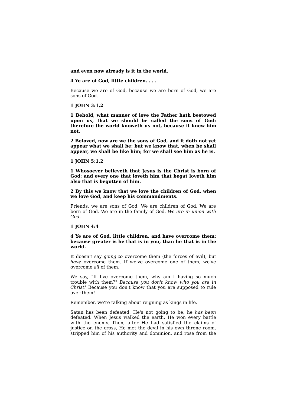**and even now already is it in the world.**

#### **4 Ye are of God, little children. . . .**

Because we are of God, because we are born of God, we are sons of God.

#### **1 JOHN 3:1,2**

**1 Behold, what manner of love the Father hath bestowed upon us, that we should be called the sons of God: therefore the world knoweth us not, because it knew him not.**

**2 Beloved, now are we the sons of God, and it doth not yet appear what we shall be: but we know that, when he shall appear, we shall be like him; for we shall see him as he is.**

# **1 JOHN 5:1,2**

**1 Whosoever believeth that Jesus is the Christ is born of God: and every one that loveth him that begat loveth him also that is begotten of him.**

# **2 By this we know that we love the children of God, when we love God, and keep his commandments.**

Friends, we are sons of God. We are children of God. We are born of God. We are in the family of God. *We are in union with God.*

# **1 JOHN 4:4**

# **4 Ye are of God, little children, and have overcome them: because greater is he that is in you, than he that is in the world.**

It doesn't say *going to* overcome them (the forces of evil), but *have* overcome them. If we've overcome one of them, we've overcome *all* of them.

We say, "If I've overcome them, why am I having so much trouble with them?" *Because you don't know who you are in Christ!* Because you don't know that you are supposed to rule over them!

Remember, we're talking about reigning as kings in life.

Satan has been defeated. He's not going to be; he *has been* defeated. When Jesus walked the earth, He won every battle with the enemy. Then, after He had satisfied the claims of justice on the cross, He met the devil in his own throne room, stripped him of his authority and dominion, and rose from the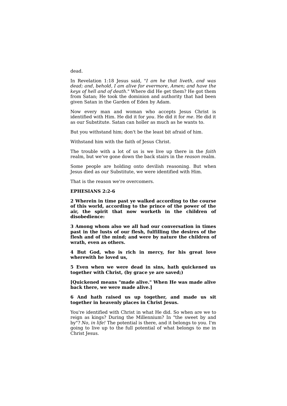# dead.

In Revelation 1:18 Jesus said, *"I am he that liveth, and was dead; and, behold, I am alive for evermore, Amen; and have the keys of hell and of death."* Where did He get them? He got them from Satan; He took the dominion and authority that had been given Satan in the Garden of Eden by Adam.

Now every man and woman who accepts Jesus Christ is identified with Him. He did it for *you.* He did it for *me.* He did it as our Substitute. Satan can holler as much as he wants to.

But you withstand him; don't be the least bit afraid of him.

Withstand him with the faith of Jesus Christ.

The trouble with a lot of us is we live up there in the *faith* realm, but we've gone down the back stairs in the *reason* realm.

Some people are holding onto devilish reasoning. But when Jesus died as our Substitute, we were identified with Him.

That is the reason we're overcomers.

#### **EPHESIANS 2:2-6**

**2 Wherein in time past ye walked according to the course of this world, according to the prince of the power of the air, the spirit that now worketh in the children of disobedience:**

**3 Among whom also we all had our conversation in times past in the lusts of our flesh, fulfilling the desires of the flesh and of the mind; and were by nature the children of wrath, even as others.**

**4 But God, who is rich in mercy, for his great love wherewith he loved us,**

**5 Even when we were dead in sins, hath quickened us together with Christ, (by grace ye are saved;)**

**[Quickened means "made alive." When He was made alive back there, we were made alive.]**

## **6 And hath raised us up together, and made us sit together in heavenly places in Christ Jesus.**

You're identified with Christ in what He did. So when are we to reign as kings? During the Millennium? In "the sweet by and by"? *No, in life!* The potential is there, and it belongs to you. I'm going to live up to the full potential of what belongs to me in Christ Jesus.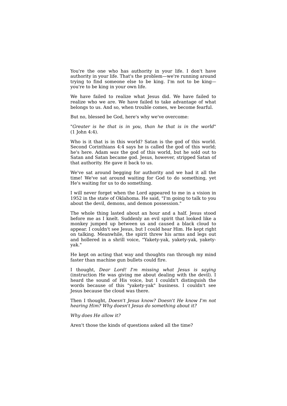You're the one who has authority in your life. I don't have authority in your life. That's the problem—we're running around trying to find someone else to be king. I'm not to be king you're to be king in your own life.

We have failed to realize what Jesus did. We have failed to realize who we are. We have failed to take advantage of what belongs to us. And so, when trouble comes, we become fearful.

But no, blessed be God, here's why we've overcome:

*"Greater is he that is in you, than he that is in the world"* (1 John 4:4).

Who is it that is in this world? Satan is the god of this world. Second Corinthians 4:4 says he is called the god of this world; he's here. Adam *was* the god of this world, but he sold out to Satan and Satan became god. Jesus, however, stripped Satan of that authority. He gave it back to us.

We've sat around begging for authority and we had it all the time! We've sat around waiting for God to do something, yet He's waiting for us to do something.

I will never forget when the Lord appeared to me in a vision in 1952 in the state of Oklahoma. He said, "I'm going to talk to you about the devil, demons, and demon possession."

The whole thing lasted about an hour and a half. Jesus stood before me as I knelt. Suddenly an evil spirit that looked like a monkey jumped up between us and caused a black cloud to appear. I couldn't see Jesus, but I could hear Him. He kept right on talking. Meanwhile, the spirit threw his arms and legs out and hollered in a shrill voice, "Yakety-yak, yakety-yak, yaketyyak."

He kept on acting that way and thoughts ran through my mind faster than machine gun bullets could fire.

I thought, *Dear Lord! I'm missing what Jesus is saying* (instruction He was giving me about dealing with the devil). I heard the sound of His voice, but I couldn't distinguish the words because of this "yakety-yak" business. I couldn't see Jesus because the cloud was there.

Then I thought, *Doesn't Jesus know? Doesn't He know I'm not hearing Him? Why doesn't Jesus do something about it?*

*Why does He allow it?*

Aren't those the kinds of questions asked all the time?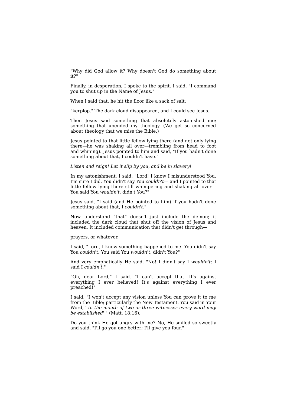"Why did God allow it? Why doesn't God do something about it?"

Finally, in desperation, I spoke to the spirit. I said, "I command you to shut up in the Name of Jesus."

When I said that, he hit the floor like a sack of salt:

"kerplop." The dark cloud disappeared, and I could see Jesus.

Then Jesus said something that absolutely astonished me; something that upended my theology. (We get so concerned about theology that we miss the Bible.)

Jesus pointed to that little fellow lying there (and not only lying there—he was shaking all over—trembling from head to foot and whining). Jesus pointed to him and said, "If you hadn't done something about that, I couldn't have."

#### *Listen and reign! Let it slip by you, and be in slavery!*

In my astonishment, I said, "Lord! I know I misunderstood You. I'm sure I did. You didn't say You *couldn't—* and I pointed to that little fellow lying there still whimpering and shaking all over— You said You *wouldn't,* didn't You?"

Jesus said, "I said (and He pointed to him) if you hadn't done something about that, I *couldn't."*

Now understand "that" doesn't just include the demon; it included the dark cloud that shut off the vision of Jesus and heaven. It included communication that didn't get through—

prayers, or whatever.

I said, "Lord, I know something happened to me. You didn't say You *couldn't;* You said You *wouldn't,* didn't You?"

And very emphatically He said, "No! I didn't say I *wouldn't;* I said I *couldn't."*

"Oh, dear Lord," I said. "I can't accept that. It's against everything I ever believed! It's against everything I ever preached!"

I said, "I won't accept any vision unless You can prove it to me from the Bible; particularly the New Testament. You said in Your Word, ' *In the mouth of two or three witnesses every word may be established'* " (Matt. 18:16).

Do you think He got angry with me? No, He smiled so sweetly and said, "I'll go you one better; I'll give you four."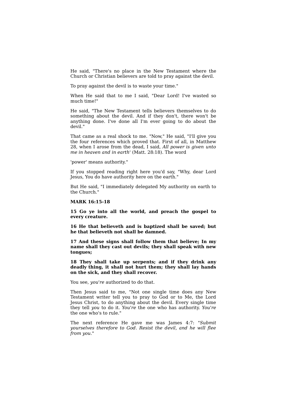He said, "There's no place in the New Testament where the Church or Christian believers are told to pray against the devil.

To pray against the devil is to waste your time."

When He said that to me I said, "Dear Lord! I've wasted so much time!"

He said, "The New Testament tells believers themselves to do something about the devil. And if they don't, there won't be anything done. I've done all I'm ever going to do about the devil."

That came as a real shock to me. "Now," He said, "I'll give you the four references which proved that. First of all, in Matthew 28, when I arose from the dead, I said, *All power is given unto me in heaven and in earth'* (Matt. 28:18). The word

'power' means authority."

If you stopped reading right here you'd say, "Why, dear Lord Jesus, You do have authority here on the earth."

But He said, "I immediately delegated My authority on earth to the Church."

#### **MARK 16:15-18**

**15 Go ye into all the world, and preach the gospel to every creature.**

**16 He that believeth and is baptized shall be saved; but he that believeth not shall be damned.**

**17 And these signs shall follow them that believe; In my name shall they cast out devils; they shall speak with new tongues;**

**18 They shall take up serpents; and if they drink any deadly thing, it shall not hurt them; they shall lay hands on the sick, and they shall recover.**

You see, *you're* authorized to do that.

Then Jesus said to me, "Not one single time does any New Testament writer tell you to pray to God or to Me, the Lord Jesus Christ, to do anything about the devil. Every single time they tell *you* to do it. *You're* the one who has authority. *You're* the one who's to rule."

The next reference He gave me was James 4:7: *"Submit yourselves therefore to God. Resist the devil, and he will flee from you."*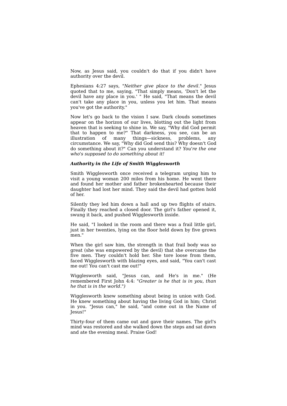Now, as Jesus said, you couldn't do that if you didn't have authority over the devil.

Ephesians 4:27 says, *"Neither give place to the devil."* Jesus quoted that to me, saying, "That simply means, 'Don't let the devil have any place in you.' " He said, "That means the devil can't take any place in you, unless you let him. That means you've got the authority."

Now let's go back to the vision I saw. Dark clouds sometimes appear on the horizon of our lives, blotting out the light from heaven that is seeking to shine in. We say, "Why did God permit that to happen to me?" That darkness, you see, can be an illustration of many things—sickness, problems, any circumstance. We say, "Why did God send this? Why doesn't God do something about it?" Can you understand it? *You're the one who's supposed to do something about it!*

#### *Authority in the Life of Smith Wigglesworth*

Smith Wigglesworth once received a telegram urging him to visit a young woman 200 miles from his home. He went there and found her mother and father brokenhearted because their daughter had lost her mind. They said the devil had gotten hold of her.

Silently they led him down a hall and up two flights of stairs. Finally they reached a closed door. The girl's father opened it, swung it back, and pushed Wigglesworth inside.

He said, "I looked in the room and there was a frail little girl, just in her twenties, lying on the floor held down by five grown men."

When the girl saw him, the strength in that frail body was so great (she was empowered by the devil) that she overcame the five men. They couldn't hold her. She tore loose from them, faced Wigglesworth with blazing eyes, and said, "You can't cast me out! You can't cast me out!"

Wigglesworth said, "Jesus can, and He's in me." (He remembered First John 4:4: *"Greater is he that is in you, than he that is in the world.")*

Wigglesworth knew something about being in union with God. He knew something about having the living God in him; Christ in you. "Jesus can," he said, "and come out in the Name of Jesus!"

Thirty-four of them came out and gave their names. The girl's mind was restored and she walked down the steps and sat down and ate the evening meal. Praise God!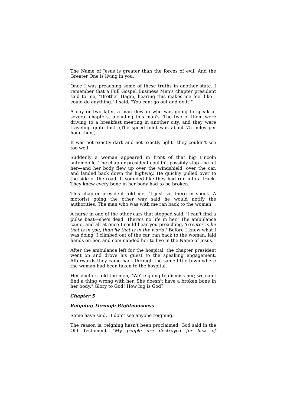The Name of Jesus is greater than the forces of evil. And the Greater One is living in you.

Once I was preaching some of these truths in another state. I remember that a Full Gospel Business Men's chapter president said to me, "Brother Hagin, hearing this makes me feel like I could do anything." I said, "You can; go out and do it!"

A day or two later, a man flew in who was going to speak at several chapters, including this man's. The two of them were driving to a breakfast meeting in another city, and they were traveling quite fast. (The speed limit was about 75 miles per hour then.)

It was not exactly dark and not exactly light—they couldn't see too well.

Suddenly a woman appeared in front of that big Lincoln automobile. The chapter president couldn't possibly stop—he hit her—and her body flew up over the windshield, over the car, and landed back down the highway. He quickly pulled over to the side of the road. It sounded like they had run into a truck. They knew every bone in her body had to be broken.

This chapter president told me, "I just sat there in shock. A motorist going the other way said he would notify the authorities. The man who was with me ran back to the woman.

A nurse in one of the other cars that stopped said, 'I can't find a pulse beat—she's dead. There's no life in her.' The ambulance came, and all at once I could hear you preaching, *'Greater is he that is in you, than he that is in the world.'* Before I knew what I was doing, I climbed out of the car, ran back to the woman, laid hands on her, and commanded her to live in the Name of Jesus."

After the ambulance left for the hospital, the chapter president went on and drove his guest to the speaking engagement. Afterwards they came back through the same little town where the woman had been taken to the hospital.

Her doctors told the men, "We're going to dismiss her; we can't find a thing wrong with her. She doesn't have a broken bone in her body." Glory to God! How big is God?

## *Chapter 5*

## *Reigning Through Righteousness*

Some have said, "I don't see anyone reigning."

The reason is, reigning hasn't been proclaimed. God said in the Old Testament, *"My people are destroyed for lack of*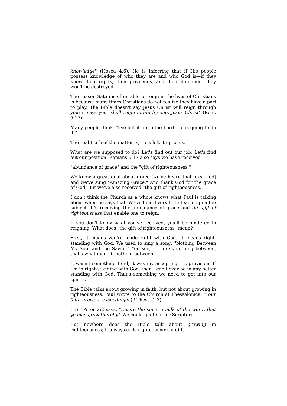*knowledge"* (Hosea 4:6). He is inferring that if His people possess knowledge of who they are and who God is—if they know their rights, their privileges, and their dominion—they won't be destroyed.

The reason Satan is often able to reign in the lives of Christians is because many times Christians do not realize they have a part to play. The Bible doesn't say Jesus Christ will reign through you; it says you *"shall reign in life by one, Jesus Christ"* (Rom. 5:17).

Many people think, "I've left it up to the Lord. He is going to do it."

The real truth of the matter is, He's left it up to us.

What are we supposed to do? Let's find out our job. Let's find out our position. Romans 5:17 also says we have received

"abundance of grace" and the "gift of righteousness."

We know a great deal about grace (we've heard that preached) and we've sung "Amazing Grace." And thank God for the grace of God. But we've also received "the gift of righteousness."

I don't think the Church as a whole knows what Paul is talking about when he says that. We've heard very little teaching on the subject. It's receiving the abundance of grace and *the gift of righteousness* that enable one to reign.

If you don't know what you've received, you'll be hindered in reigning. What does "the gift of righteousness" mean?

First, it means you're made right with God. It means rightstanding with God. We used to sing a song, "Nothing Between My Soul and the Savior." You see, if there's nothing between, that's what made it nothing between.

It wasn't something I did; it was my accepting His provision. If I'm in right-standing with God, then I can't ever be in any better standing with God. That's something we need to get into our spirits.

The Bible talks about growing in faith, but not about growing in righteousness. Paul wrote to the Church at Thessalonica, *"Your faith groweth exceedingly* (2 Thess. 1:3).

First Peter 2:2 says, *"Desire the sincere milk of the word, that ye may grow thereby."* We could quote other Scriptures.

But nowhere does the Bible talk about *growing* in righteousness; it always calls righteousness a gift.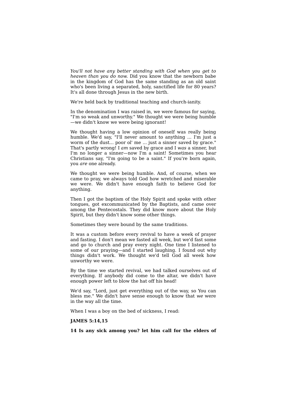*You'll not have any better standing with God when you get to heaven than you do now.* Did you know that the newborn babe in the kingdom of God has the same standing as an old saint who's been living a separated, holy, sanctified life for 80 years? It's all done through Jesus in the new birth.

We're held back by traditional teaching and church-ianity.

In the denomination I was raised in, we were famous for saying, "I'm so weak and unworthy." We thought we were being humble —we didn't know we were being ignorant!

We thought having a low opinion of oneself was really being humble. We'd say, "I'll never amount to anything ... I'm just a worm of the dust... poor ol' me ... just a sinner saved by grace." That's partly wrong! I *am* saved by grace and I *was* a sinner, but I'm no longer a sinner—now I'm a saint! Sometimes you hear Christians say, "I'm going to be a saint." If you're born again, you *are* one already.

We thought we were being humble. And, of course, when we came to pray, we always told God how wretched and miserable we were. We didn't have enough faith to believe God for anything.

Then I got the baptism of the Holy Spirit and spoke with other tongues, got excommunicated by the Baptists, and came over among the Pentecostals. They did know more about the Holy Spirit, but they didn't know some other things.

Sometimes they were bound by the same traditions.

It was a custom before every revival to have a week of prayer and fasting. I don't mean we fasted all week, but we'd fast some and go to church and pray every night. One time I listened to some of our praying—and I started laughing. I found out why things didn't work. We thought we'd tell God all week how unworthy we were.

By the time we started revival, we had talked ourselves out of everything. If anybody did come to the altar, we didn't have enough power left to blow the hat off his head!

We'd say, "Lord, just get everything out of the way, so You can bless me." We didn't have sense enough to know that *we* were in the way all the time.

When I was a boy on the bed of sickness, I read:

# **JAMES 5:14,15**

**14 Is any sick among you? let him call for the elders of**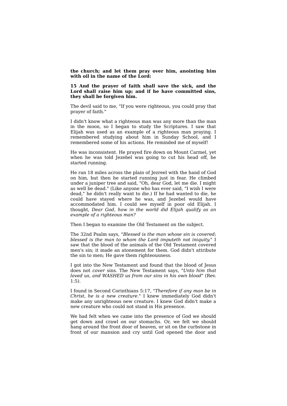**the church; and let them pray over him, anointing him with oil in the name of the Lord:**

## **15 And the prayer of faith shall save the sick, and the Lord shall raise him up; and if he have committed sins, they shall be forgiven him.**

The devil said to me, "If you were righteous, you could pray that prayer of faith."

I didn't know what a righteous man was any more than the man in the moon, so I began to study the Scriptures. I saw that Elijah was used as an example of a righteous man praying. I remembered studying about him in Sunday School, and I remembered some of his actions. He reminded me of myself!

He was inconsistent. He prayed fire down on Mount Carmel, yet when he was told Jezebel was going to cut his head off, he started running.

He ran 18 miles across the plain of Jezreel with the hand of God on him, but then he started running just in fear. He climbed under a juniper tree and said, "Oh, dear God, let me die. I might as well be dead." (Like anyone who has ever said, "I wish I were dead," he didn't really want to die.) If he had wanted to die, he could have stayed where he was, and Jezebel would have accommodated him. I could see myself in poor old Elijah. I thought, *Dear God, how in the world did Elijah qualify as an example of a righteous man?*

Then I began to examine the Old Testament on the subject.

The 32nd Psalm says, *"Blessed is the man whose sin is covered; blessed is the man to whom the Lord imputeth not iniquity."* I saw that the blood of the animals of the Old Testament covered men's sin; it made an atonement for them. God didn't attribute the sin to men; He gave them righteousness.

I got into the New Testament and found that the blood of Jesus does not *cover* sins. The New Testament says, *"Unto him that loved us, and WASHED us from our sins in his own blood"* (Rev. 1:5).

I found in Second Corinthians 5:17, *"Therefore if any man be in Christ, he is a new creature."* I knew immediately God didn't make any unrighteous new creature. I knew God didn't make a new creature who could not stand in His presence.

We had felt when we came into the presence of God we should get down and crawl on our stomachs. Or, we felt we should hang around the front door of heaven, or sit on the curbstone in front of our mansion and cry until God opened the door and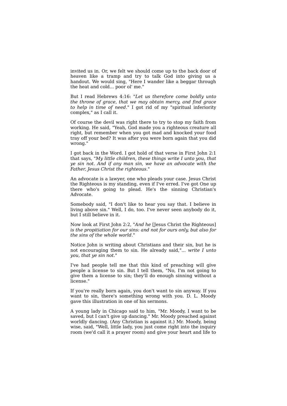invited us in. Or, we felt we should come up to the back door of heaven like a tramp and try to talk God into giving us a handout. We would sing, "Here I wander like a beggar through the heat and cold... poor ol' me."

But I read Hebrews 4:16: *"Let us therefore come boldly unto the throne of grace, that we may obtain mercy, and find grace to help in time of need."* I got rid of my "spiritual inferiority complex," as I call it.

Of course the devil was right there to try to stop my faith from working. He said, "Yeah, God made you a righteous creature all right, but remember when you got mad and knocked your food tray off your bed? It was after you were born again that you did wrong."

I got back in the Word. I got hold of that verse in First John 2:1 that says, *"My little children, these things write I unto you, that ye sin not. And if any man sin, we have an advocate with the Father, Jesus Christ the righteous."*

An advocate is a lawyer, one who pleads your case. Jesus Christ the Righteous is my standing, even if I've erred. I've got One up there who's going to plead. He's the sinning Christian's Advocate.

Somebody said, "I don't like to hear you say that. I believe in living above sin." Well, I do, too. I've never seen anybody do it, but I still believe in it.

Now look at First John 2:2, *"And he* [Jesus Christ the Righteous] *is the propitiation for our sins: and not for ours only, but also for the sins of the whole world."*

Notice John is writing about Christians and their sin, but he is not encouraging them to sin. He already said,"... *write I unto you, that ye sin not."*

I've had people tell me that this kind of preaching will give people a license to sin. But I tell them, "No, I'm not going to give them a license to sin; they'll do enough sinning without a license."

If you're really born again, you don't want to sin anyway. If you want to sin, there's something wrong with you. D. L. Moody gave this illustration in one of his sermons.

A young lady in Chicago said to him, "Mr. Moody, I want to be saved, but I can't give up dancing." Mr. Moody preached against worldly dancing. (Any Christian is against it.) Mr. Moody, being wise, said, "Well, little lady, you just come right into the inquiry room (we'd call it a prayer room) and give your heart and life to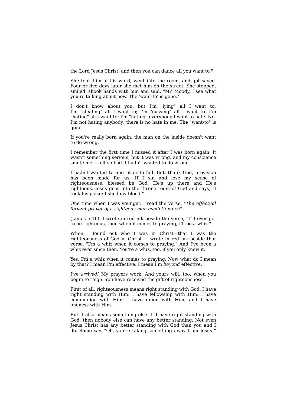the Lord Jesus Christ, and then you can dance all you want to."

She took him at his word, went into the room, and got saved. Four or five days later she met him on the street. She stopped, smiled, shook hands with him and said, "Mr. Moody, I see what you're talking about now. The 'want-to' is gone."

I don't know about you, but I'm "lying" all I want to; I'm "stealing" all I want to; I'm "cussing" all I want to. I'm "hating" all I want to; I'm "hating" everybody I want to hate. No, I'm not hating anybody; there is no hate in me. The "want-to" is gone.

If you're really born again, the man on the inside doesn't want to do wrong.

I remember the first time I missed it after I was born again. It wasn't something serious, but it was wrong, and my conscience smote me. I felt so bad. I hadn't wanted to do wrong.

I hadn't wanted to miss it or to fail. But, thank God, provision has been made for us. If I sin and lose my sense of righteousness, blessed be God, He's up there and He's righteous. Jesus goes into the throne room of God and says, "I took his place; I shed my blood."

One time when I was younger, I read the verse, *"The effectual fervent prayer of a righteous man availeth much"*

(James 5:16). I wrote in red ink beside the verse, "If I ever get to be righteous, then when it comes to praying, I'll be a whiz."

When I found out who I was in Christ—that I was the righteousness of God in Christ—I wrote in red ink beside that verse, "I'm a whiz when it comes to praying." And I've been a whiz ever since then. You're a whiz, too, if you only knew it.

Yes, I'm a whiz when it comes to praying. Now what do I mean by that? I mean I'm effective. I mean I'm *beyond* effective.

I've *arrived!* My prayers work. And yours will, too, when you begin to reign. You have received the gift of righteousness.

First of all, righteousness means right standing with God. I have right standing with Him; I have fellowship with Him; I have communion with Him; I have union with Him; and I have oneness with Him.

But it also means something else. If I have right standing with God, then nobody else can have any better standing. Not even Jesus Christ has any better standing with God than you and I do. Some say, "Oh, you're taking something away from Jesus!"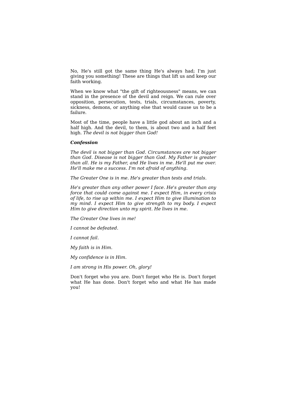No, He's still got the same thing He's always had; I'm just giving you something! These are things that lift us and keep our faith working.

When we know what "the gift of righteousness" means, we can stand in the presence of the devil and reign. We can rule over opposition, persecution, tests, trials, circumstances, poverty, sickness, demons, or anything else that would cause us to be a failure.

Most of the time, people have a little god about an inch and a half high. And the devil, to them, is about two and a half feet high. *The devil is not bigger than God!*

## *Confession*

*The devil is not bigger than God. Circumstances are not bigger than God. Disease is not bigger than God. My Father is greater than all. He is my Father, and He lives in me. He'll put me over. He'll make me a success. I'm not afraid of anything.*

*The Greater One is in me. He's greater than tests and trials.*

*He's greater than any other power I face. He's greater than any force that could come against me. I expect Him, in every crisis of life, to rise up within me. I expect Him to give illumination to my mind. I expect Him to give strength to my body. I expect Him to give direction unto my spirit. He lives in me.*

*The Greater One lives in me!*

*I cannot be defeated.*

*I cannot fail.*

*My faith is in Him.*

*My confidence is in Him.*

*I am strong in His power. Oh, glory!*

Don't forget who you are. Don't forget who He is. Don't forget what He has done. Don't forget who and what He has made you!